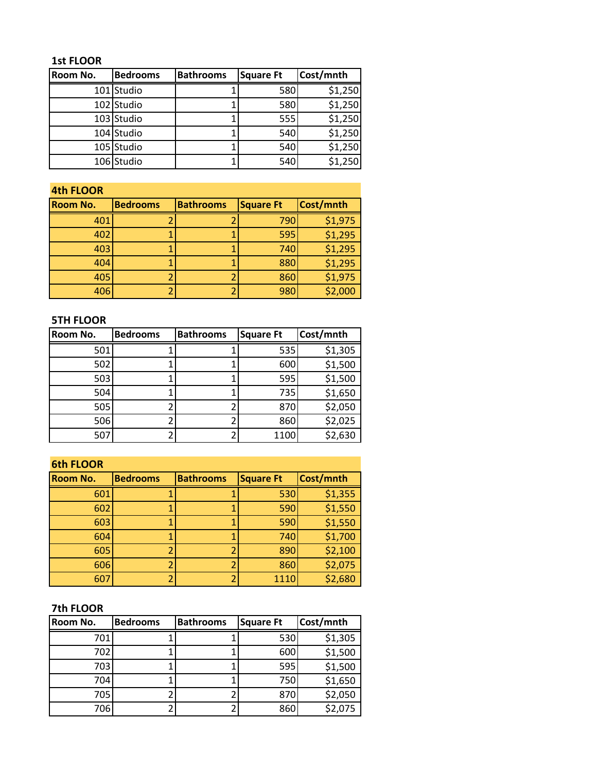### **1st FLOOR**

| Room No. | <b>Bedrooms</b> | <b>Bathrooms</b> | <b>Square Ft</b> | Cost/mnth |
|----------|-----------------|------------------|------------------|-----------|
|          | 101 Studio      |                  | 580              | \$1,250   |
|          | 102 Studio      |                  | 580              | \$1,250   |
|          | 103 Studio      |                  | 555              | \$1,250   |
|          | 104 Studio      |                  | 540              | \$1,250   |
|          | 105 Studio      |                  | 540              | \$1,250   |
|          | 106 Studio      |                  | 540              | \$1,250   |

#### **4th FLOOR**

| <b>Room No.</b> | <b>Bedrooms</b> | <b>Bathrooms</b> | <b>Square Ft</b> | Cost/mnth |
|-----------------|-----------------|------------------|------------------|-----------|
| 401             |                 |                  | 790              | \$1,975   |
| 402             |                 |                  | 595              | \$1,295   |
| 403             |                 |                  | 740              | \$1,295   |
| 404             |                 |                  | 880              | \$1,295   |
| 405             |                 |                  | 860              | \$1,975   |
| 406             |                 |                  | 980              | \$2,000   |

### **5TH FLOOR**

| Room No. | <b>Bedrooms</b> | <b>Bathrooms</b> | <b>Square Ft</b> | Cost/mnth |
|----------|-----------------|------------------|------------------|-----------|
| 501      |                 |                  | 535              | \$1,305   |
| 502      |                 |                  | 600              | \$1,500   |
| 503      |                 |                  | 595              | \$1,500   |
| 504      |                 |                  | 735              | \$1,650   |
| 505      |                 |                  | 870              | \$2,050   |
| 506      |                 |                  | 860              | \$2,025   |
| 507      |                 |                  | 1100             | \$2,630   |

## **6th FLOOR**

| Room No. | <b>Bedrooms</b> | <b>Bathrooms</b> | <b>Square Ft</b> | Cost/mnth |  |
|----------|-----------------|------------------|------------------|-----------|--|
| 601      |                 |                  | 530              | \$1,355   |  |
| 602      |                 |                  | 590              | \$1,550   |  |
| 603      |                 |                  | 590              | \$1,550   |  |
| 604      |                 |                  | 740              | \$1,700   |  |
| 605      |                 |                  | 890              | \$2,100   |  |
| 606      |                 |                  | 860              | \$2,075   |  |
| 607      |                 |                  | 1110             | \$2,680   |  |

# **7th FLOOR**

| Room No. | <b>Bedrooms</b> | <b>Bathrooms</b> | <b>Square Ft</b> | Cost/mnth |
|----------|-----------------|------------------|------------------|-----------|
| 701      |                 |                  | 530              | \$1,305   |
| 702      |                 |                  | 600              | \$1,500   |
| 703      |                 |                  | 595              | \$1,500   |
| 704      |                 |                  | 750              | \$1,650   |
| 705      |                 |                  | 870              | \$2,050   |
| 706      |                 |                  | 860              | \$2,075   |